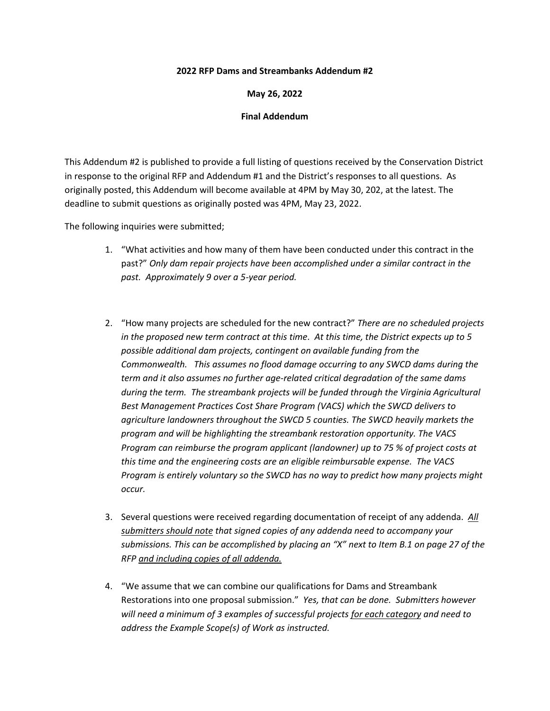## **2022 RFP Dams and Streambanks Addendum #2**

## **May 26, 2022**

## **Final Addendum**

This Addendum #2 is published to provide a full listing of questions received by the Conservation District in response to the original RFP and Addendum #1 and the District's responses to all questions. As originally posted, this Addendum will become available at 4PM by May 30, 202, at the latest. The deadline to submit questions as originally posted was 4PM, May 23, 2022.

The following inquiries were submitted;

- 1. "What activities and how many of them have been conducted under this contract in the past?" *Only dam repair projects have been accomplished under a similar contract in the past. Approximately 9 over a 5-year period.*
- 2. "How many projects are scheduled for the new contract?" *There are no scheduled projects in the proposed new term contract at this time. At this time, the District expects up to 5 possible additional dam projects, contingent on available funding from the Commonwealth. This assumes no flood damage occurring to any SWCD dams during the term and it also assumes no further age-related critical degradation of the same dams during the term. The streambank projects will be funded through the Virginia Agricultural Best Management Practices Cost Share Program (VACS) which the SWCD delivers to agriculture landowners throughout the SWCD 5 counties. The SWCD heavily markets the program and will be highlighting the streambank restoration opportunity. The VACS Program can reimburse the program applicant (landowner) up to 75 % of project costs at this time and the engineering costs are an eligible reimbursable expense. The VACS Program is entirely voluntary so the SWCD has no way to predict how many projects might occur.*
- 3. Several questions were received regarding documentation of receipt of any addenda. *All submitters should note that signed copies of any addenda need to accompany your submissions. This can be accomplished by placing an "X" next to Item B.1 on page 27 of the RFP and including copies of all addenda.*
- 4. "We assume that we can combine our qualifications for Dams and Streambank Restorations into one proposal submission." *Yes, that can be done. Submitters however will need a minimum of 3 examples of successful projects for each category and need to address the Example Scope(s) of Work as instructed.*